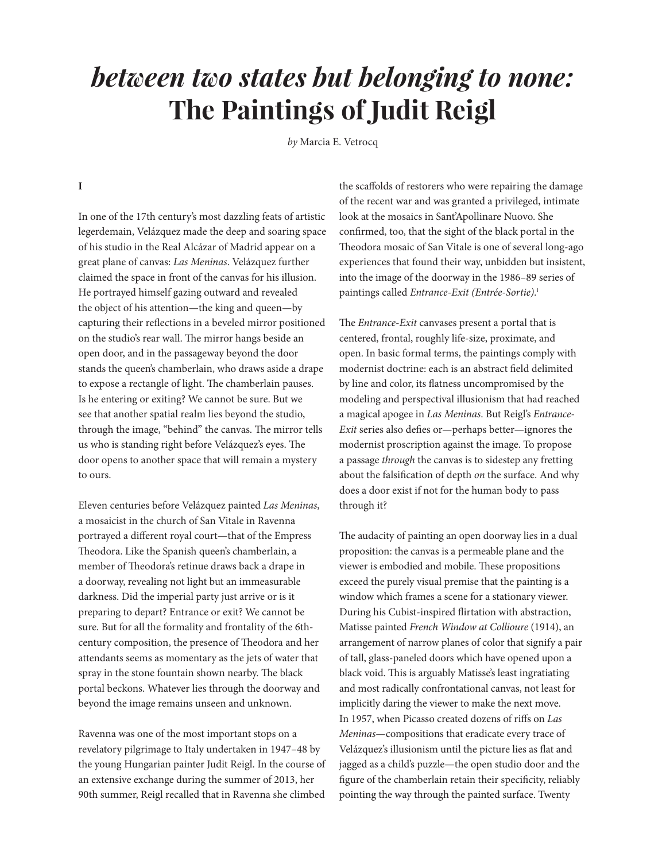# *between two states but belonging to none:* **The Paintings of Judit Reigl**

*by* Marcia E. Vetrocq

#### **I**

In one of the 17th century's most dazzling feats of artistic legerdemain, Velázquez made the deep and soaring space of his studio in the Real Alcázar of Madrid appear on a great plane of canvas: *Las Meninas*. Velázquez further claimed the space in front of the canvas for his illusion. He portrayed himself gazing outward and revealed the object of his attention—the king and queen—by capturing their reflections in a beveled mirror positioned on the studio's rear wall. The mirror hangs beside an open door, and in the passageway beyond the door stands the queen's chamberlain, who draws aside a drape to expose a rectangle of light. The chamberlain pauses. Is he entering or exiting? We cannot be sure. But we see that another spatial realm lies beyond the studio, through the image, "behind" the canvas. The mirror tells us who is standing right before Velázquez's eyes. The door opens to another space that will remain a mystery to ours.

Eleven centuries before Velázquez painted *Las Meninas*, a mosaicist in the church of San Vitale in Ravenna portrayed a different royal court—that of the Empress Theodora. Like the Spanish queen's chamberlain, a member of Theodora's retinue draws back a drape in a doorway, revealing not light but an immeasurable darkness. Did the imperial party just arrive or is it preparing to depart? Entrance or exit? We cannot be sure. But for all the formality and frontality of the 6thcentury composition, the presence of Theodora and her attendants seems as momentary as the jets of water that spray in the stone fountain shown nearby. The black portal beckons. Whatever lies through the doorway and beyond the image remains unseen and unknown.

Ravenna was one of the most important stops on a revelatory pilgrimage to Italy undertaken in 1947–48 by the young Hungarian painter Judit Reigl. In the course of an extensive exchange during the summer of 2013, her 90th summer, Reigl recalled that in Ravenna she climbed

the scaffolds of restorers who were repairing the damage of the recent war and was granted a privileged, intimate look at the mosaics in Sant'Apollinare Nuovo. She confirmed, too, that the sight of the black portal in the Theodora mosaic of San Vitale is one of several long-ago experiences that found their way, unbidden but insistent, into the image of the doorway in the 1986–89 series of paintings called *Entrance-Exit (Entrée-Sortie).*<sup>i</sup> 

The *Entrance-Exit* canvases present a portal that is centered, frontal, roughly life-size, proximate, and open. In basic formal terms, the paintings comply with modernist doctrine: each is an abstract field delimited by line and color, its flatness uncompromised by the modeling and perspectival illusionism that had reached a magical apogee in *Las Meninas*. But Reigl's *Entrance-Exit* series also defies or—perhaps better—ignores the modernist proscription against the image. To propose a passage *through* the canvas is to sidestep any fretting about the falsification of depth *on* the surface. And why does a door exist if not for the human body to pass through it?

The audacity of painting an open doorway lies in a dual proposition: the canvas is a permeable plane and the viewer is embodied and mobile. These propositions exceed the purely visual premise that the painting is a window which frames a scene for a stationary viewer. During his Cubist-inspired flirtation with abstraction, Matisse painted *French Window at Collioure* (1914), an arrangement of narrow planes of color that signify a pair of tall, glass-paneled doors which have opened upon a black void. This is arguably Matisse's least ingratiating and most radically confrontational canvas, not least for implicitly daring the viewer to make the next move. In 1957, when Picasso created dozens of riffs on *Las Meninas*—compositions that eradicate every trace of Velázquez's illusionism until the picture lies as flat and jagged as a child's puzzle—the open studio door and the figure of the chamberlain retain their specificity, reliably pointing the way through the painted surface. Twenty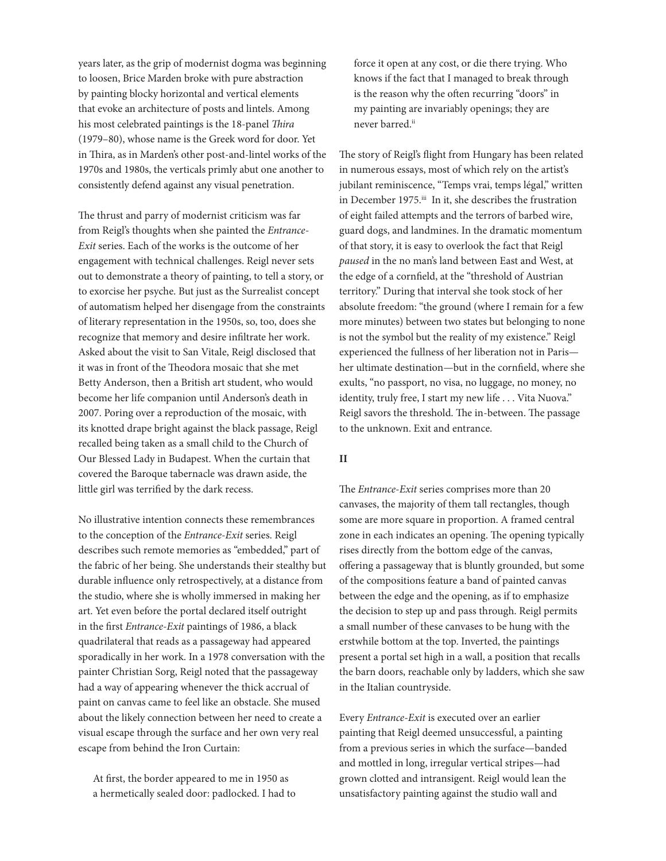years later, as the grip of modernist dogma was beginning to loosen, Brice Marden broke with pure abstraction by painting blocky horizontal and vertical elements that evoke an architecture of posts and lintels. Among his most celebrated paintings is the 18-panel *Thira* (1979–80), whose name is the Greek word for door. Yet in Thira, as in Marden's other post-and-lintel works of the 1970s and 1980s, the verticals primly abut one another to consistently defend against any visual penetration.

The thrust and parry of modernist criticism was far from Reigl's thoughts when she painted the *Entrance-Exit* series. Each of the works is the outcome of her engagement with technical challenges. Reigl never sets out to demonstrate a theory of painting, to tell a story, or to exorcise her psyche. But just as the Surrealist concept of automatism helped her disengage from the constraints of literary representation in the 1950s, so, too, does she recognize that memory and desire infiltrate her work. Asked about the visit to San Vitale, Reigl disclosed that it was in front of the Theodora mosaic that she met Betty Anderson, then a British art student, who would become her life companion until Anderson's death in 2007. Poring over a reproduction of the mosaic, with its knotted drape bright against the black passage, Reigl recalled being taken as a small child to the Church of Our Blessed Lady in Budapest. When the curtain that covered the Baroque tabernacle was drawn aside, the little girl was terrified by the dark recess.

No illustrative intention connects these remembrances to the conception of the *Entrance-Exit* series. Reigl describes such remote memories as "embedded," part of the fabric of her being. She understands their stealthy but durable influence only retrospectively, at a distance from the studio, where she is wholly immersed in making her art. Yet even before the portal declared itself outright in the first *Entrance-Exit* paintings of 1986, a black quadrilateral that reads as a passageway had appeared sporadically in her work. In a 1978 conversation with the painter Christian Sorg, Reigl noted that the passageway had a way of appearing whenever the thick accrual of paint on canvas came to feel like an obstacle. She mused about the likely connection between her need to create a visual escape through the surface and her own very real escape from behind the Iron Curtain:

At first, the border appeared to me in 1950 as a hermetically sealed door: padlocked. I had to

force it open at any cost, or die there trying. Who knows if the fact that I managed to break through is the reason why the often recurring "doors" in my painting are invariably openings; they are never barred.<sup>ii</sup>

The story of Reigl's flight from Hungary has been related in numerous essays, most of which rely on the artist's jubilant reminiscence, "Temps vrai, temps légal," written in December 1975.iii In it, she describes the frustration of eight failed attempts and the terrors of barbed wire, guard dogs, and landmines. In the dramatic momentum of that story, it is easy to overlook the fact that Reigl *paused* in the no man's land between East and West, at the edge of a cornfield, at the "threshold of Austrian territory." During that interval she took stock of her absolute freedom: "the ground (where I remain for a few more minutes) between two states but belonging to none is not the symbol but the reality of my existence." Reigl experienced the fullness of her liberation not in Paris her ultimate destination—but in the cornfield, where she exults, "no passport, no visa, no luggage, no money, no identity, truly free, I start my new life . . . Vita Nuova." Reigl savors the threshold. The in-between. The passage to the unknown. Exit and entrance.

## **II**

The *Entrance-Exit* series comprises more than 20 canvases, the majority of them tall rectangles, though some are more square in proportion. A framed central zone in each indicates an opening. The opening typically rises directly from the bottom edge of the canvas, offering a passageway that is bluntly grounded, but some of the compositions feature a band of painted canvas between the edge and the opening, as if to emphasize the decision to step up and pass through. Reigl permits a small number of these canvases to be hung with the erstwhile bottom at the top. Inverted, the paintings present a portal set high in a wall, a position that recalls the barn doors, reachable only by ladders, which she saw in the Italian countryside.

Every *Entrance-Exit* is executed over an earlier painting that Reigl deemed unsuccessful, a painting from a previous series in which the surface—banded and mottled in long, irregular vertical stripes—had grown clotted and intransigent. Reigl would lean the unsatisfactory painting against the studio wall and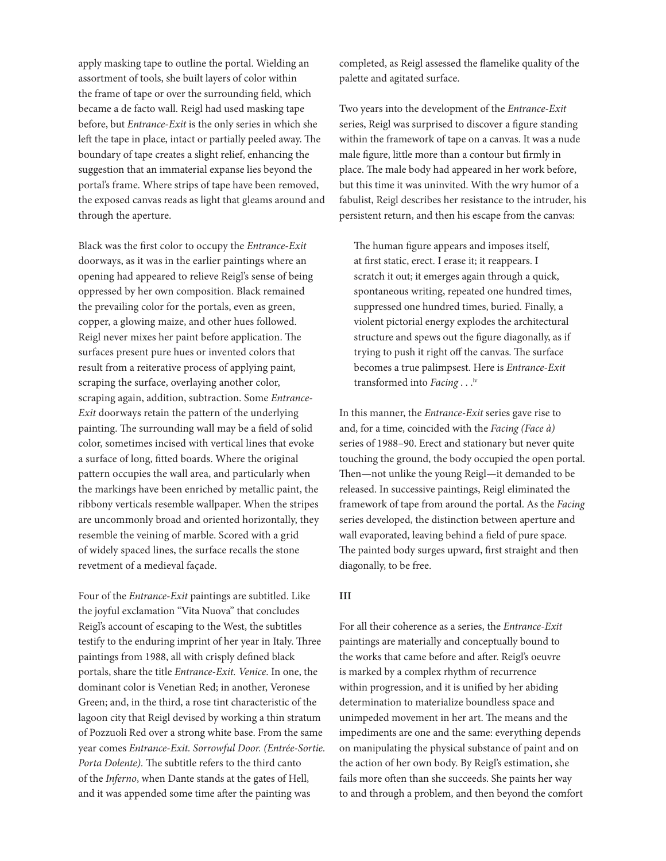apply masking tape to outline the portal. Wielding an assortment of tools, she built layers of color within the frame of tape or over the surrounding field, which became a de facto wall. Reigl had used masking tape before, but *Entrance-Exit* is the only series in which she left the tape in place, intact or partially peeled away. The boundary of tape creates a slight relief, enhancing the suggestion that an immaterial expanse lies beyond the portal's frame. Where strips of tape have been removed, the exposed canvas reads as light that gleams around and through the aperture.

Black was the first color to occupy the *Entrance-Exit* doorways, as it was in the earlier paintings where an opening had appeared to relieve Reigl's sense of being oppressed by her own composition. Black remained the prevailing color for the portals, even as green, copper, a glowing maize, and other hues followed. Reigl never mixes her paint before application. The surfaces present pure hues or invented colors that result from a reiterative process of applying paint, scraping the surface, overlaying another color, scraping again, addition, subtraction. Some *Entrance-Exit* doorways retain the pattern of the underlying painting. The surrounding wall may be a field of solid color, sometimes incised with vertical lines that evoke a surface of long, fitted boards. Where the original pattern occupies the wall area, and particularly when the markings have been enriched by metallic paint, the ribbony verticals resemble wallpaper. When the stripes are uncommonly broad and oriented horizontally, they resemble the veining of marble. Scored with a grid of widely spaced lines, the surface recalls the stone revetment of a medieval façade.

Four of the *Entrance-Exit* paintings are subtitled. Like the joyful exclamation "Vita Nuova" that concludes Reigl's account of escaping to the West, the subtitles testify to the enduring imprint of her year in Italy. Three paintings from 1988, all with crisply defined black portals, share the title *Entrance-Exit. Venice*. In one, the dominant color is Venetian Red; in another, Veronese Green; and, in the third, a rose tint characteristic of the lagoon city that Reigl devised by working a thin stratum of Pozzuoli Red over a strong white base. From the same year comes *Entrance-Exit. Sorrowful Door. (Entrée-Sortie. Porta Dolente).* The subtitle refers to the third canto of the *Inferno*, when Dante stands at the gates of Hell, and it was appended some time after the painting was

completed, as Reigl assessed the flamelike quality of the palette and agitated surface.

Two years into the development of the *Entrance-Exit* series, Reigl was surprised to discover a figure standing within the framework of tape on a canvas. It was a nude male figure, little more than a contour but firmly in place. The male body had appeared in her work before, but this time it was uninvited. With the wry humor of a fabulist, Reigl describes her resistance to the intruder, his persistent return, and then his escape from the canvas:

The human figure appears and imposes itself, at first static, erect. I erase it; it reappears. I scratch it out; it emerges again through a quick, spontaneous writing, repeated one hundred times, suppressed one hundred times, buried. Finally, a violent pictorial energy explodes the architectural structure and spews out the figure diagonally, as if trying to push it right off the canvas. The surface becomes a true palimpsest. Here is *Entrance-Exit* transformed into *Facing* . . .iv

In this manner, the *Entrance-Exit* series gave rise to and, for a time, coincided with the *Facing (Face à)* series of 1988–90. Erect and stationary but never quite touching the ground, the body occupied the open portal. Then—not unlike the young Reigl—it demanded to be released. In successive paintings, Reigl eliminated the framework of tape from around the portal. As the *Facing* series developed, the distinction between aperture and wall evaporated, leaving behind a field of pure space. The painted body surges upward, first straight and then diagonally, to be free.

## **III**

For all their coherence as a series, the *Entrance-Exit* paintings are materially and conceptually bound to the works that came before and after. Reigl's oeuvre is marked by a complex rhythm of recurrence within progression, and it is unified by her abiding determination to materialize boundless space and unimpeded movement in her art. The means and the impediments are one and the same: everything depends on manipulating the physical substance of paint and on the action of her own body. By Reigl's estimation, she fails more often than she succeeds. She paints her way to and through a problem, and then beyond the comfort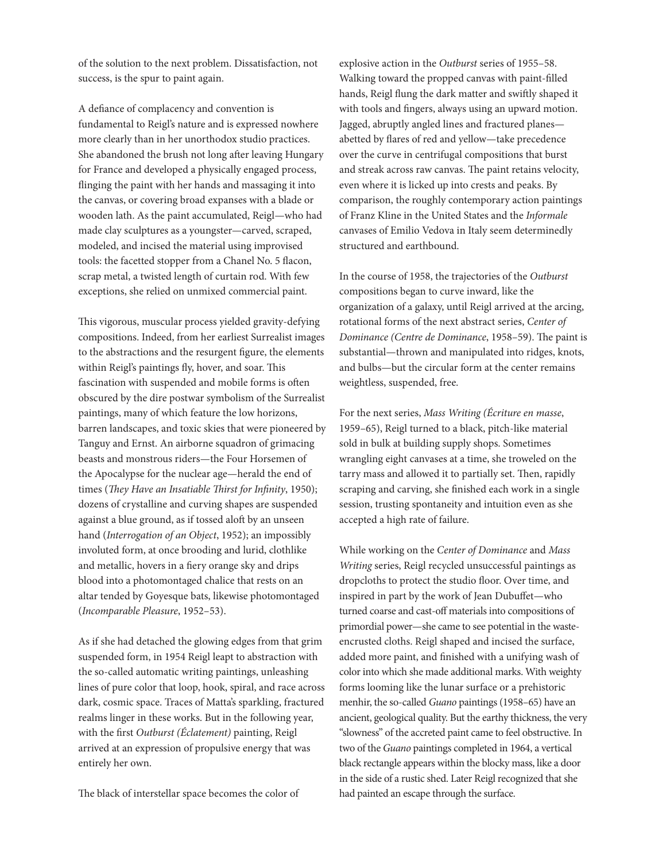of the solution to the next problem. Dissatisfaction, not success, is the spur to paint again.

A defiance of complacency and convention is fundamental to Reigl's nature and is expressed nowhere more clearly than in her unorthodox studio practices. She abandoned the brush not long after leaving Hungary for France and developed a physically engaged process, flinging the paint with her hands and massaging it into the canvas, or covering broad expanses with a blade or wooden lath. As the paint accumulated, Reigl—who had made clay sculptures as a youngster—carved, scraped, modeled, and incised the material using improvised tools: the facetted stopper from a Chanel No. 5 flacon, scrap metal, a twisted length of curtain rod. With few exceptions, she relied on unmixed commercial paint.

This vigorous, muscular process yielded gravity-defying compositions. Indeed, from her earliest Surrealist images to the abstractions and the resurgent figure, the elements within Reigl's paintings fly, hover, and soar. This fascination with suspended and mobile forms is often obscured by the dire postwar symbolism of the Surrealist paintings, many of which feature the low horizons, barren landscapes, and toxic skies that were pioneered by Tanguy and Ernst. An airborne squadron of grimacing beasts and monstrous riders—the Four Horsemen of the Apocalypse for the nuclear age—herald the end of times (*They Have an Insatiable Thirst for Infinity*, 1950); dozens of crystalline and curving shapes are suspended against a blue ground, as if tossed aloft by an unseen hand (*Interrogation of an Object*, 1952); an impossibly involuted form, at once brooding and lurid, clothlike and metallic, hovers in a fiery orange sky and drips blood into a photomontaged chalice that rests on an altar tended by Goyesque bats, likewise photomontaged (*Incomparable Pleasure*, 1952–53).

As if she had detached the glowing edges from that grim suspended form, in 1954 Reigl leapt to abstraction with the so-called automatic writing paintings, unleashing lines of pure color that loop, hook, spiral, and race across dark, cosmic space. Traces of Matta's sparkling, fractured realms linger in these works. But in the following year, with the first *Outburst (Éclatement)* painting, Reigl arrived at an expression of propulsive energy that was entirely her own.

The black of interstellar space becomes the color of

explosive action in the *Outburst* series of 1955–58. Walking toward the propped canvas with paint-filled hands, Reigl flung the dark matter and swiftly shaped it with tools and fingers, always using an upward motion. Jagged, abruptly angled lines and fractured planes abetted by flares of red and yellow—take precedence over the curve in centrifugal compositions that burst and streak across raw canvas. The paint retains velocity, even where it is licked up into crests and peaks. By comparison, the roughly contemporary action paintings of Franz Kline in the United States and the *Informale* canvases of Emilio Vedova in Italy seem determinedly structured and earthbound.

In the course of 1958, the trajectories of the *Outburst* compositions began to curve inward, like the organization of a galaxy, until Reigl arrived at the arcing, rotational forms of the next abstract series, *Center of Dominance (Centre de Dominance*, 1958–59). The paint is substantial—thrown and manipulated into ridges, knots, and bulbs—but the circular form at the center remains weightless, suspended, free.

For the next series, *Mass Writing (Écriture en masse*, 1959–65), Reigl turned to a black, pitch-like material sold in bulk at building supply shops. Sometimes wrangling eight canvases at a time, she troweled on the tarry mass and allowed it to partially set. Then, rapidly scraping and carving, she finished each work in a single session, trusting spontaneity and intuition even as she accepted a high rate of failure.

While working on the *Center of Dominance* and *Mass Writing* series, Reigl recycled unsuccessful paintings as dropcloths to protect the studio floor. Over time, and inspired in part by the work of Jean Dubuffet—who turned coarse and cast-off materials into compositions of primordial power—she came to see potential in the wasteencrusted cloths. Reigl shaped and incised the surface, added more paint, and finished with a unifying wash of color into which she made additional marks. With weighty forms looming like the lunar surface or a prehistoric menhir, the so-called *Guano* paintings (1958–65) have an ancient, geological quality. But the earthy thickness, the very "slowness" of the accreted paint came to feel obstructive. In two of the *Guano* paintings completed in 1964, a vertical black rectangle appears within the blocky mass, like a door in the side of a rustic shed. Later Reigl recognized that she had painted an escape through the surface.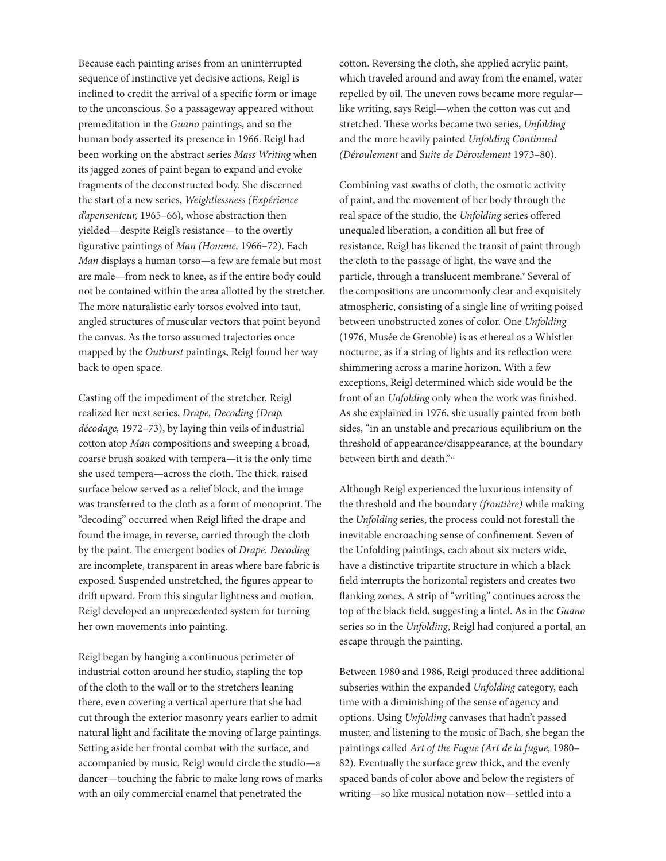Because each painting arises from an uninterrupted sequence of instinctive yet decisive actions, Reigl is inclined to credit the arrival of a specific form or image to the unconscious. So a passageway appeared without premeditation in the *Guano* paintings, and so the human body asserted its presence in 1966. Reigl had been working on the abstract series *Mass Writing* when its jagged zones of paint began to expand and evoke fragments of the deconstructed body. She discerned the start of a new series, *Weightlessness (Expérience d'apensenteur,* 1965–66), whose abstraction then yielded—despite Reigl's resistance—to the overtly figurative paintings of *Man (Homme,* 1966–72). Each *Man* displays a human torso—a few are female but most are male—from neck to knee, as if the entire body could not be contained within the area allotted by the stretcher. The more naturalistic early torsos evolved into taut, angled structures of muscular vectors that point beyond the canvas. As the torso assumed trajectories once mapped by the *Outburst* paintings, Reigl found her way back to open space.

Casting off the impediment of the stretcher, Reigl realized her next series, *Drape, Decoding (Drap, décodage,* 1972–73), by laying thin veils of industrial cotton atop *Man* compositions and sweeping a broad, coarse brush soaked with tempera—it is the only time she used tempera—across the cloth. The thick, raised surface below served as a relief block, and the image was transferred to the cloth as a form of monoprint. The "decoding" occurred when Reigl lifted the drape and found the image, in reverse, carried through the cloth by the paint. The emergent bodies of *Drape, Decoding* are incomplete, transparent in areas where bare fabric is exposed. Suspended unstretched, the figures appear to drift upward. From this singular lightness and motion, Reigl developed an unprecedented system for turning her own movements into painting.

Reigl began by hanging a continuous perimeter of industrial cotton around her studio, stapling the top of the cloth to the wall or to the stretchers leaning there, even covering a vertical aperture that she had cut through the exterior masonry years earlier to admit natural light and facilitate the moving of large paintings. Setting aside her frontal combat with the surface, and accompanied by music, Reigl would circle the studio—a dancer—touching the fabric to make long rows of marks with an oily commercial enamel that penetrated the

cotton. Reversing the cloth, she applied acrylic paint, which traveled around and away from the enamel, water repelled by oil. The uneven rows became more regular like writing, says Reigl—when the cotton was cut and stretched. These works became two series, *Unfolding* and the more heavily painted *Unfolding Continued (Déroulement* and S*uite de Déroulement* 1973–80).

Combining vast swaths of cloth, the osmotic activity of paint, and the movement of her body through the real space of the studio, the *Unfolding* series offered unequaled liberation, a condition all but free of resistance. Reigl has likened the transit of paint through the cloth to the passage of light, the wave and the particle, through a translucent membrane.<sup>v</sup> Several of the compositions are uncommonly clear and exquisitely atmospheric, consisting of a single line of writing poised between unobstructed zones of color. One *Unfolding* (1976, Musée de Grenoble) is as ethereal as a Whistler nocturne, as if a string of lights and its reflection were shimmering across a marine horizon. With a few exceptions, Reigl determined which side would be the front of an *Unfolding* only when the work was finished. As she explained in 1976, she usually painted from both sides, "in an unstable and precarious equilibrium on the threshold of appearance/disappearance, at the boundary between birth and death."vi

Although Reigl experienced the luxurious intensity of the threshold and the boundary *(frontière)* while making the *Unfolding* series, the process could not forestall the inevitable encroaching sense of confinement. Seven of the Unfolding paintings, each about six meters wide, have a distinctive tripartite structure in which a black field interrupts the horizontal registers and creates two flanking zones. A strip of "writing" continues across the top of the black field, suggesting a lintel. As in the *Guano* series so in the *Unfolding*, Reigl had conjured a portal, an escape through the painting.

Between 1980 and 1986, Reigl produced three additional subseries within the expanded *Unfolding* category, each time with a diminishing of the sense of agency and options. Using *Unfolding* canvases that hadn't passed muster, and listening to the music of Bach, she began the paintings called *Art of the Fugue (Art de la fugue,* 1980– 82). Eventually the surface grew thick, and the evenly spaced bands of color above and below the registers of writing—so like musical notation now—settled into a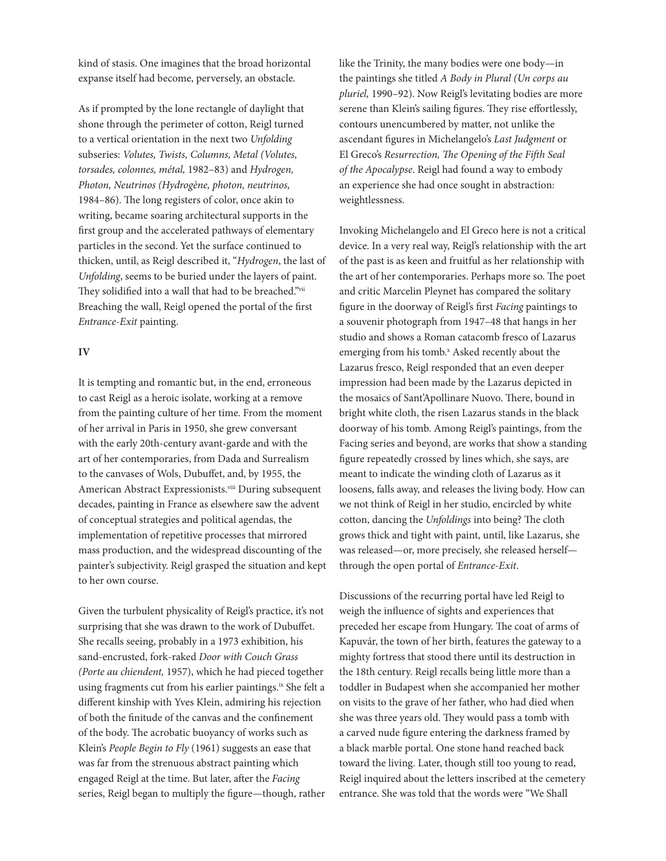kind of stasis. One imagines that the broad horizontal expanse itself had become, perversely, an obstacle.

As if prompted by the lone rectangle of daylight that shone through the perimeter of cotton, Reigl turned to a vertical orientation in the next two *Unfolding* subseries: *Volutes, Twists, Columns, Metal (Volutes, torsades, colonnes, métal,* 1982–83) and *Hydrogen, Photon, Neutrinos (Hydrogène, photon, neutrinos,* 1984–86). The long registers of color, once akin to writing, became soaring architectural supports in the first group and the accelerated pathways of elementary particles in the second. Yet the surface continued to thicken, until, as Reigl described it, "*Hydrogen*, the last of *Unfolding*, seems to be buried under the layers of paint. They solidified into a wall that had to be breached."vii Breaching the wall, Reigl opened the portal of the first *Entrance-Exit* painting.

### **IV**

It is tempting and romantic but, in the end, erroneous to cast Reigl as a heroic isolate, working at a remove from the painting culture of her time. From the moment of her arrival in Paris in 1950, she grew conversant with the early 20th-century avant-garde and with the art of her contemporaries, from Dada and Surrealism to the canvases of Wols, Dubuffet, and, by 1955, the American Abstract Expressionists.<sup>viii</sup> During subsequent decades, painting in France as elsewhere saw the advent of conceptual strategies and political agendas, the implementation of repetitive processes that mirrored mass production, and the widespread discounting of the painter's subjectivity. Reigl grasped the situation and kept to her own course.

Given the turbulent physicality of Reigl's practice, it's not surprising that she was drawn to the work of Dubuffet. She recalls seeing, probably in a 1973 exhibition, his sand-encrusted, fork-raked *Door with Couch Grass (Porte au chiendent,* 1957), which he had pieced together using fragments cut from his earlier paintings.ix She felt a different kinship with Yves Klein, admiring his rejection of both the finitude of the canvas and the confinement of the body. The acrobatic buoyancy of works such as Klein's *People Begin to Fly* (1961) suggests an ease that was far from the strenuous abstract painting which engaged Reigl at the time. But later, after the *Facing* series, Reigl began to multiply the figure—though, rather like the Trinity, the many bodies were one body—in the paintings she titled *A Body in Plural (Un corps au pluriel,* 1990–92). Now Reigl's levitating bodies are more serene than Klein's sailing figures. They rise effortlessly, contours unencumbered by matter, not unlike the ascendant figures in Michelangelo's *Last Judgment* or El Greco's *Resurrection, The Opening of the Fifth Seal of the Apocalypse*. Reigl had found a way to embody an experience she had once sought in abstraction: weightlessness.

Invoking Michelangelo and El Greco here is not a critical device. In a very real way, Reigl's relationship with the art of the past is as keen and fruitful as her relationship with the art of her contemporaries. Perhaps more so. The poet and critic Marcelin Pleynet has compared the solitary figure in the doorway of Reigl's first *Facing* paintings to a souvenir photograph from 1947–48 that hangs in her studio and shows a Roman catacomb fresco of Lazarus emerging from his tomb.<sup>x</sup> Asked recently about the Lazarus fresco, Reigl responded that an even deeper impression had been made by the Lazarus depicted in the mosaics of Sant'Apollinare Nuovo. There, bound in bright white cloth, the risen Lazarus stands in the black doorway of his tomb. Among Reigl's paintings, from the Facing series and beyond, are works that show a standing figure repeatedly crossed by lines which, she says, are meant to indicate the winding cloth of Lazarus as it loosens, falls away, and releases the living body. How can we not think of Reigl in her studio, encircled by white cotton, dancing the *Unfoldings* into being? The cloth grows thick and tight with paint, until, like Lazarus, she was released—or, more precisely, she released herself through the open portal of *Entrance-Exit*.

Discussions of the recurring portal have led Reigl to weigh the influence of sights and experiences that preceded her escape from Hungary. The coat of arms of Kapuvár, the town of her birth, features the gateway to a mighty fortress that stood there until its destruction in the 18th century. Reigl recalls being little more than a toddler in Budapest when she accompanied her mother on visits to the grave of her father, who had died when she was three years old. They would pass a tomb with a carved nude figure entering the darkness framed by a black marble portal. One stone hand reached back toward the living. Later, though still too young to read, Reigl inquired about the letters inscribed at the cemetery entrance. She was told that the words were "We Shall